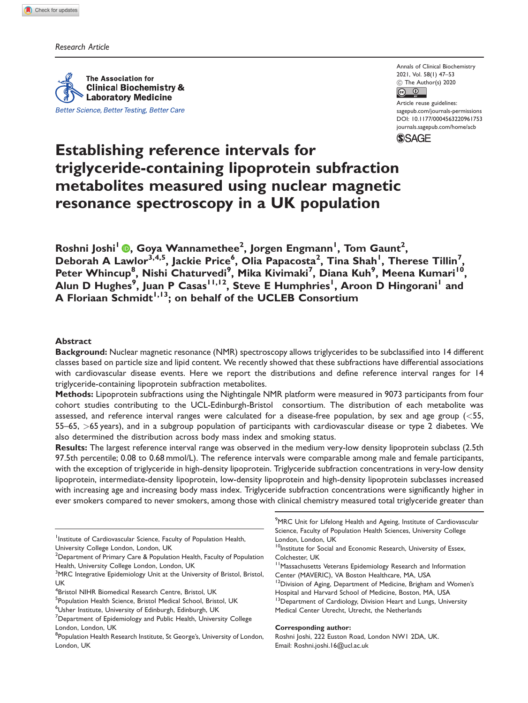Research Article

The Association for **Clinical Biochemistry & Laboratory Medicine** Better Science, Better Testing, Better Care Annals of Clinical Biochemistry 2021, Vol. 58(1) 47–53 (c) The Author(s) 2020  $\boxed{6}$   $\boxed{0}$ 

Article reuse guidelines: [sagepub.com/journals-permissions](http://uk.sagepub.com/en-gb/journals-permissions) [DOI: 10.1177/0004563220961753](http://dx.doi.org/10.1177/0004563220961753) <journals.sagepub.com/home/acb>



# Establishing reference intervals for triglyceride-containing lipoprotein subfraction metabolites measured using nuclear magnetic resonance spectroscopy in a UK population

Roshni Joshi<sup>l</sup> <mark>©</mark>[,](https://orcid.org/0000-0002-0236-572X) Goya Wannamethee<sup>2</sup>, Jorgen Engmann<sup>1</sup>, Tom Gaunt<sup>2</sup>, Deborah A Lawlor<sup>3,4,5</sup>, Jackie Price<sup>6</sup>, Olia Papacosta<sup>2</sup>, Tina Shah<sup>1</sup>, Therese Tillin<sup>7</sup>, Peter Whincup<sup>8</sup>, Nishi Chaturvedi<sup>9</sup>, Mika Kivimaki<sup>7</sup>, Diana Kuh<sup>9</sup>, Meena Kumari<sup>10</sup>, Alun D Hughes<sup>9</sup>, Juan P Casas<sup>11,12</sup>, Steve E Humphries<sup>1</sup>, Aroon D Hingorani<sup>1</sup> and A Floriaan Schmidt<sup>1,13</sup>; on behalf of the UCLEB Consortium

# Abstract

Background: Nuclear magnetic resonance (NMR) spectroscopy allows triglycerides to be subclassified into 14 different classes based on particle size and lipid content. We recently showed that these subfractions have differential associations with cardiovascular disease events. Here we report the distributions and define reference interval ranges for 14 triglyceride-containing lipoprotein subfraction metabolites.

Methods: Lipoprotein subfractions using the Nightingale NMR platform were measured in 9073 participants from four cohort studies contributing to the UCL-Edinburgh-Bristol consortium. The distribution of each metabolite was assessed, and reference interval ranges were calculated for a disease-free population, by sex and age group (<55, 55–65, >65 years), and in a subgroup population of participants with cardiovascular disease or type 2 diabetes. We also determined the distribution across body mass index and smoking status.

Results: The largest reference interval range was observed in the medium very-low density lipoprotein subclass (2.5th 97.5th percentile; 0.08 to 0.68 mmol/L). The reference intervals were comparable among male and female participants, with the exception of triglyceride in high-density lipoprotein. Triglyceride subfraction concentrations in very-low density lipoprotein, intermediate-density lipoprotein, low-density lipoprotein and high-density lipoprotein subclasses increased with increasing age and increasing body mass index. Triglyceride subfraction concentrations were significantly higher in ever smokers compared to never smokers, among those with clinical chemistry measured total triglyceride greater than

- <sup>1</sup>Institute of Cardiovascular Science, Faculty of Population Health, University College London, London, UK
- $^{\rm 2}$ Department of Primary Care & Population Health, Faculty of Population Health, University College London, London, UK
- <sup>3</sup>MRC Integrative Epidemiology Unit at the University of Bristol, Bristol, UK
- 4 Bristol NIHR Biomedical Research Centre, Bristol, UK

<sup>9</sup>MRC Unit for Lifelong Health and Ageing, Institute of Cardiovascular Science, Faculty of Population Health Sciences, University College London, London, UK

- <sup>10</sup>Institute for Social and Economic Research, University of Essex, Colchester, UK
- 11Massachusetts Veterans Epidemiology Research and Information Center (MAVERIC), VA Boston Healthcare, MA, USA

<sup>12</sup>Division of Aging, Department of Medicine, Brigham and Women's Hospital and Harvard School of Medicine, Boston, MA, USA

<sup>13</sup>Department of Cardiology, Division Heart and Lungs, University Medical Center Utrecht, Utrecht, the Netherlands

### Corresponding author:

Roshni Joshi, 222 Euston Road, London NW1 2DA, UK. Email: [Roshni.joshi.16@ucl.ac.uk](mailto:Roshni.joshi.16@ucl.ac.uk)

<sup>&</sup>lt;sup>5</sup>Population Health Science, Bristol Medical School, Bristol, UK 6 Usher Institute, University of Edinburgh, Edinburgh, UK

 ${\rm ^7}$ Department of Epidemiology and Public Health, University College London, London, UK

<sup>&</sup>lt;sup>8</sup>Population Health Research Institute, St George's, University of London, London, UK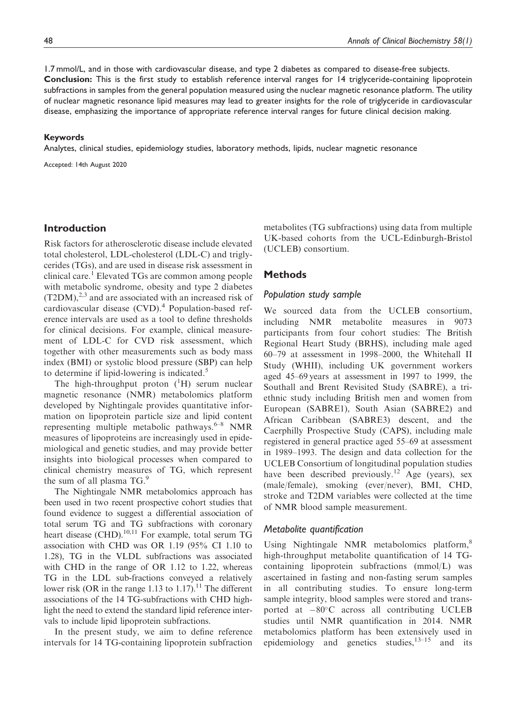1.7 mmol/L, and in those with cardiovascular disease, and type 2 diabetes as compared to disease-free subjects. Conclusion: This is the first study to establish reference interval ranges for 14 triglyceride-containing lipoprotein subfractions in samples from the general population measured using the nuclear magnetic resonance platform. The utility of nuclear magnetic resonance lipid measures may lead to greater insights for the role of triglyceride in cardiovascular disease, emphasizing the importance of appropriate reference interval ranges for future clinical decision making.

### Keywords

Analytes, clinical studies, epidemiology studies, laboratory methods, lipids, nuclear magnetic resonance

Accepted: 14th August 2020

# Introduction

Risk factors for atherosclerotic disease include elevated total cholesterol, LDL-cholesterol (LDL-C) and triglycerides (TGs), and are used in disease risk assessment in clinical care.<sup>1</sup> Elevated TGs are common among people with metabolic syndrome, obesity and type 2 diabetes  $(T2DM)$ ,<sup>2,3</sup> and are associated with an increased risk of cardiovascular disease  $(CVD)$ .<sup>4</sup> Population-based reference intervals are used as a tool to define thresholds for clinical decisions. For example, clinical measurement of LDL-C for CVD risk assessment, which together with other measurements such as body mass index (BMI) or systolic blood pressure (SBP) can help to determine if lipid-lowering is indicated.<sup>5</sup>

The high-throughput proton  $({}^{1}H)$  serum nuclear magnetic resonance (NMR) metabolomics platform developed by Nightingale provides quantitative information on lipoprotein particle size and lipid content representing multiple metabolic pathways. $6-8$  NMR measures of lipoproteins are increasingly used in epidemiological and genetic studies, and may provide better insights into biological processes when compared to clinical chemistry measures of TG, which represent the sum of all plasma TG.<sup>9</sup>

The Nightingale NMR metabolomics approach has been used in two recent prospective cohort studies that found evidence to suggest a differential association of total serum TG and TG subfractions with coronary heart disease (CHD).<sup>10,11</sup> For example, total serum TG association with CHD was OR 1.19 (95% CI 1.10 to 1.28), TG in the VLDL subfractions was associated with CHD in the range of OR 1.12 to 1.22, whereas TG in the LDL sub-fractions conveyed a relatively lower risk (OR in the range 1.13 to 1.17).<sup>11</sup> The different associations of the 14 TG-subfractions with CHD highlight the need to extend the standard lipid reference intervals to include lipid lipoprotein subfractions.

In the present study, we aim to define reference intervals for 14 TG-containing lipoprotein subfraction metabolites (TG subfractions) using data from multiple UK-based cohorts from the UCL-Edinburgh-Bristol (UCLEB) consortium.

# **Methods**

### Population study sample

We sourced data from the UCLEB consortium, including NMR metabolite measures in 9073 participants from four cohort studies: The British Regional Heart Study (BRHS), including male aged 60–79 at assessment in 1998–2000, the Whitehall II Study (WHII), including UK government workers aged 45–69 years at assessment in 1997 to 1999, the Southall and Brent Revisited Study (SABRE), a triethnic study including British men and women from European (SABRE1), South Asian (SABRE2) and African Caribbean (SABRE3) descent, and the Caerphilly Prospective Study (CAPS), including male registered in general practice aged 55–69 at assessment in 1989–1993. The design and data collection for the UCLEB Consortium of longitudinal population studies have been described previously.<sup>12</sup> Age (years), sex (male/female), smoking (ever/never), BMI, CHD, stroke and T2DM variables were collected at the time of NMR blood sample measurement.

### Metabolite quantification

Using Nightingale NMR metabolomics platform,<sup>8</sup> high-throughput metabolite quantification of 14 TGcontaining lipoprotein subfractions (mmol/L) was ascertained in fasting and non-fasting serum samples in all contributing studies. To ensure long-term sample integrity, blood samples were stored and transported at  $-80^{\circ}$ C across all contributing UCLEB studies until NMR quantification in 2014. NMR metabolomics platform has been extensively used in epidemiology and genetics studies,  $13-15$  and its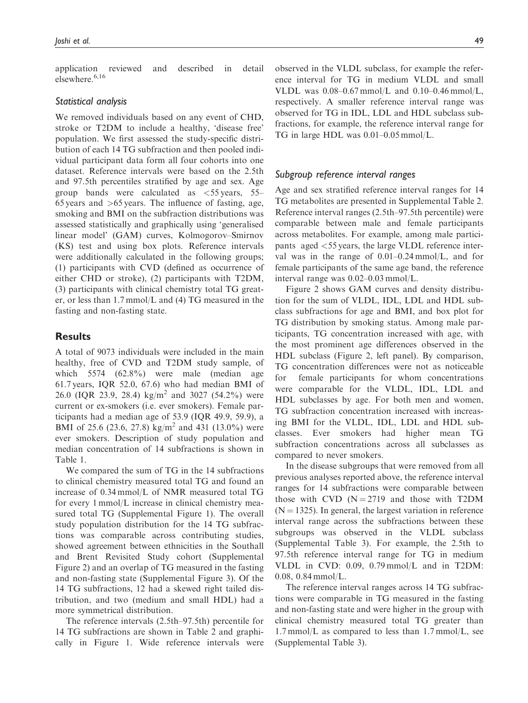application reviewed and described in detail elsewhere.<sup>6,16</sup>

### Statistical analysis

We removed individuals based on any event of CHD, stroke or T2DM to include a healthy, 'disease free' population. We first assessed the study-specific distribution of each 14 TG subfraction and then pooled individual participant data form all four cohorts into one dataset. Reference intervals were based on the 2.5th and 97.5th percentiles stratified by age and sex. Age group bands were calculated as  $\lt$  55 years, 55– 65 years and  $>65$  years. The influence of fasting, age, smoking and BMI on the subfraction distributions was assessed statistically and graphically using 'generalised linear model' (GAM) curves, Kolmogorov–Smirnov (KS) test and using box plots. Reference intervals were additionally calculated in the following groups; (1) participants with CVD (defined as occurrence of either CHD or stroke), (2) participants with T2DM, (3) participants with clinical chemistry total TG greater, or less than 1.7 mmol/L and (4) TG measured in the fasting and non-fasting state.

# **Results**

A total of 9073 individuals were included in the main healthy, free of CVD and T2DM study sample, of which 5574 (62.8%) were male (median age 61.7 years, IQR 52.0, 67.6) who had median BMI of 26.0 (IQR 23.9, 28.4) kg/m<sup>2</sup> and 3027 (54.2%) were current or ex-smokers (i.e. ever smokers). Female participants had a median age of 53.9 (IQR 49.9, 59.9), a BMI of 25.6 (23.6, 27.8) kg/m<sup>2</sup> and 431 (13.0%) were ever smokers. Description of study population and median concentration of 14 subfractions is shown in Table 1.

We compared the sum of TG in the 14 subfractions to clinical chemistry measured total TG and found an increase of 0.34 mmol/L of NMR measured total TG for every 1 mmol/L increase in clinical chemistry measured total TG (Supplemental Figure 1). The overall study population distribution for the 14 TG subfractions was comparable across contributing studies, showed agreement between ethnicities in the Southall and Brent Revisited Study cohort (Supplemental Figure 2) and an overlap of TG measured in the fasting and non-fasting state (Supplemental Figure 3). Of the 14 TG subfractions, 12 had a skewed right tailed distribution, and two (medium and small HDL) had a more symmetrical distribution.

The reference intervals (2.5th–97.5th) percentile for 14 TG subfractions are shown in Table 2 and graphically in Figure 1. Wide reference intervals were observed in the VLDL subclass, for example the reference interval for TG in medium VLDL and small VLDL was  $0.08 - 0.67$  mmol/L and  $0.10 - 0.46$  mmol/L, respectively. A smaller reference interval range was observed for TG in IDL, LDL and HDL subclass subfractions, for example, the reference interval range for TG in large HDL was 0.01–0.05 mmol/L.

# Subgroup reference interval ranges

Age and sex stratified reference interval ranges for 14 TG metabolites are presented in Supplemental Table 2. Reference interval ranges (2.5th–97.5th percentile) were comparable between male and female participants across metabolites. For example, among male participants aged <55 years, the large VLDL reference interval was in the range of 0.01–0.24 mmol/L, and for female participants of the same age band, the reference interval range was 0.02–0.03 mmol/L.

Figure 2 shows GAM curves and density distribution for the sum of VLDL, IDL, LDL and HDL subclass subfractions for age and BMI, and box plot for TG distribution by smoking status. Among male participants, TG concentration increased with age, with the most prominent age differences observed in the HDL subclass (Figure 2, left panel). By comparison, TG concentration differences were not as noticeable for female participants for whom concentrations were comparable for the VLDL, IDL, LDL and HDL subclasses by age. For both men and women, TG subfraction concentration increased with increasing BMI for the VLDL, IDL, LDL and HDL subclasses. Ever smokers had higher mean TG subfraction concentrations across all subclasses as compared to never smokers.

In the disease subgroups that were removed from all previous analyses reported above, the reference interval ranges for 14 subfractions were comparable between those with CVD  $(N = 2719)$  and those with T2DM  $(N = 1325)$ . In general, the largest variation in reference interval range across the subfractions between these subgroups was observed in the VLDL subclass (Supplemental Table 3). For example, the 2.5th to 97.5th reference interval range for TG in medium VLDL in CVD: 0.09, 0.79 mmol/L and in T2DM: 0.08, 0.84 mmol/L.

The reference interval ranges across 14 TG subfractions were comparable in TG measured in the fasting and non-fasting state and were higher in the group with clinical chemistry measured total TG greater than 1.7 mmol/L as compared to less than 1.7 mmol/L, see (Supplemental Table 3).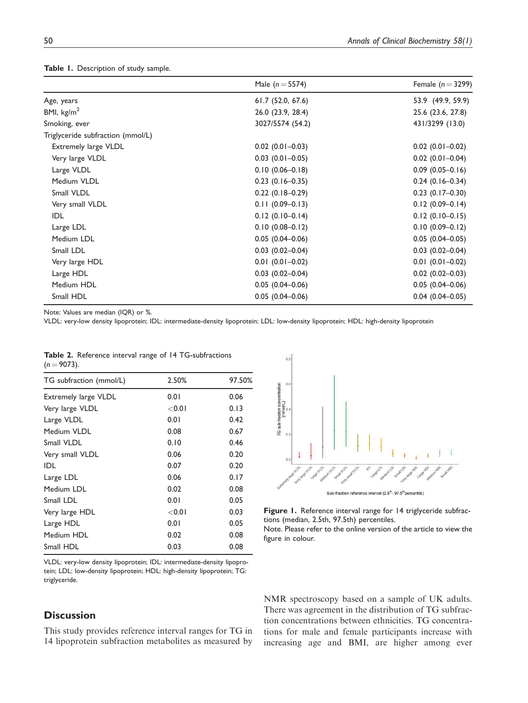# Table 1. Description of study sample.

|                                   | Male $(n = 5574)$      | Female $(n=3299)$      |
|-----------------------------------|------------------------|------------------------|
| Age, years                        | 61.7(52.0, 67.6)       | 53.9 (49.9, 59.9)      |
| BMI, $\text{kg/m}^2$              | 26.0 (23.9, 28.4)      | 25.6 (23.6, 27.8)      |
| Smoking, ever                     | 3027/5574 (54.2)       | 431/3299 (13.0)        |
| Triglyceride subfraction (mmol/L) |                        |                        |
| Extremely large VLDL              | $0.02$ (0.01-0.03)     | $0.02$ (0.01-0.02)     |
| Very large VLDL                   | $0.03$ (0.01-0.05)     | $0.02$ (0.01-0.04)     |
| Large VLDL                        | $0.10(0.06 - 0.18)$    | $0.09$ $(0.05 - 0.16)$ |
| Medium VLDL                       | $0.23$ (0.16-0.35)     | $0.24$ (0.16-0.34)     |
| Small VLDL                        | $0.22$ (0.18-0.29)     | $0.23$ $(0.17 - 0.30)$ |
| Very small VLDL                   | $0.11(0.09 - 0.13)$    | $0.12(0.09 - 0.14)$    |
| IDL                               | $0.12(0.10-0.14)$      | $0.12(0.10-0.15)$      |
| Large LDL                         | $0.10(0.08 - 0.12)$    | $0.10(0.09 - 0.12)$    |
| Medium LDL                        | $0.05(0.04 - 0.06)$    | $0.05(0.04 - 0.05)$    |
| Small LDL                         | $0.03$ $(0.02 - 0.04)$ | $0.03$ $(0.02 - 0.04)$ |
| Very large HDL                    | $0.01(0.01 - 0.02)$    | $0.01$ (0.01-0.02)     |
| Large HDL                         | $0.03$ $(0.02 - 0.04)$ | $0.02$ (0.02-0.03)     |
| Medium HDL                        | $0.05(0.04 - 0.06)$    | $0.05(0.04 - 0.06)$    |
| Small HDL                         | $0.05(0.04 - 0.06)$    | $0.04$ (0.04-0.05)     |

Note: Values are median (IQR) or %.

VLDL: very-low density lipoprotein; IDL: intermediate-density lipoprotein; LDL: low-density lipoprotein; HDL: high-density lipoprotein

|                |  |  | Table 2. Reference interval range of 14 TG-subfractions |
|----------------|--|--|---------------------------------------------------------|
| $(n = 9073)$ . |  |  |                                                         |

| TG subfraction (mmol/L)     | 2.50%    | 97.50% |  |
|-----------------------------|----------|--------|--|
| <b>Extremely large VLDL</b> | 0.01     | 0.06   |  |
| Very large VLDL             | $<$ 0.01 | 0.13   |  |
| Large VLDL                  | 0.01     | 0.42   |  |
| Medium VLDL                 | 0.08     | 0.67   |  |
| Small VLDL                  | 0.10     | 0.46   |  |
| Very small VLDL             | 0.06     | 0.20   |  |
| IDL                         | 0.07     | 0.20   |  |
| Large LDL                   | 0.06     | 0.17   |  |
| Medium LDL                  | 0.02     | 0.08   |  |
| Small LDL                   | 0.01     | 0.05   |  |
| Very large HDL              | $<$ 0.01 | 0.03   |  |
| Large HDL                   | 0.01     | 0.05   |  |
| Medium HDL                  | 0.02     | 0.08   |  |
| Small HDL                   | 0.03     | 0.08   |  |

VLDL: very-low density lipoprotein; IDL: intermediate-density lipoprotein; LDL: low-density lipoprotein; HDL: high-density lipoprotein; TG: triglyceride.

# **Discussion**

This study provides reference interval ranges for TG in 14 lipoprotein subfraction metabolites as measured by



Figure 1. Reference interval range for 14 triglyceride subfractions (median, 2.5th, 97.5th) percentiles.

Note. Please refer to the online version of the article to view the figure in colour.

NMR spectroscopy based on a sample of UK adults. There was agreement in the distribution of TG subfraction concentrations between ethnicities. TG concentrations for male and female participants increase with increasing age and BMI, are higher among ever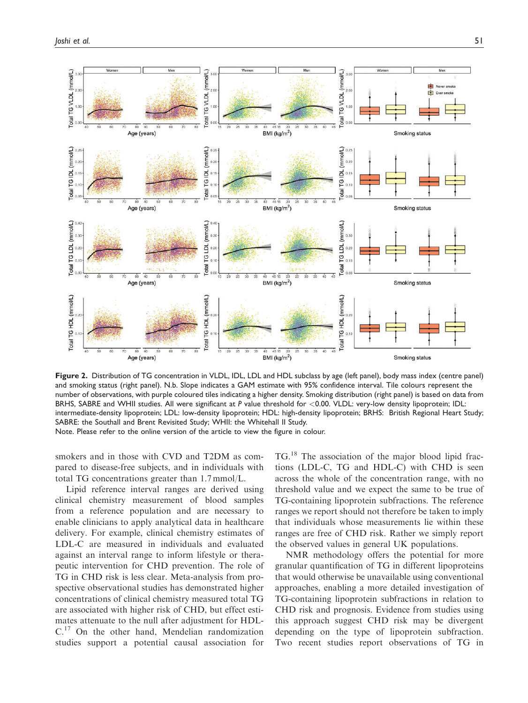

Figure 2. Distribution of TG concentration in VLDL, IDL, LDL and HDL subclass by age (left panel), body mass index (centre panel) and smoking status (right panel). N.b. Slope indicates a GAM estimate with 95% confidence interval. Tile colours represent the number of observations, with purple coloured tiles indicating a higher density. Smoking distribution (right panel) is based on data from BRHS, SABRE and WHII studies. All were significant at P value threshold for <0.00. VLDL: very-low density lipoprotein; IDL: intermediate-density lipoprotein; LDL: low-density lipoprotein; HDL: high-density lipoprotein; BRHS: British Regional Heart Study; SABRE: the Southall and Brent Revisited Study; WHII: the Whitehall II Study. Note. Please refer to the online version of the article to view the figure in colour.

smokers and in those with CVD and T2DM as compared to disease-free subjects, and in individuals with total TG concentrations greater than 1.7 mmol/L.

Lipid reference interval ranges are derived using clinical chemistry measurement of blood samples from a reference population and are necessary to enable clinicians to apply analytical data in healthcare delivery. For example, clinical chemistry estimates of LDL-C are measured in individuals and evaluated against an interval range to inform lifestyle or therapeutic intervention for CHD prevention. The role of TG in CHD risk is less clear. Meta-analysis from prospective observational studies has demonstrated higher concentrations of clinical chemistry measured total TG are associated with higher risk of CHD, but effect estimates attenuate to the null after adjustment for HDL-C.<sup>17</sup> On the other hand, Mendelian randomization studies support a potential causal association for TG.<sup>18</sup> The association of the major blood lipid fractions (LDL-C, TG and HDL-C) with CHD is seen across the whole of the concentration range, with no threshold value and we expect the same to be true of TG-containing lipoprotein subfractions. The reference ranges we report should not therefore be taken to imply that individuals whose measurements lie within these ranges are free of CHD risk. Rather we simply report the observed values in general UK populations.

NMR methodology offers the potential for more granular quantification of TG in different lipoproteins that would otherwise be unavailable using conventional approaches, enabling a more detailed investigation of TG-containing lipoprotein subfractions in relation to CHD risk and prognosis. Evidence from studies using this approach suggest CHD risk may be divergent depending on the type of lipoprotein subfraction. Two recent studies report observations of TG in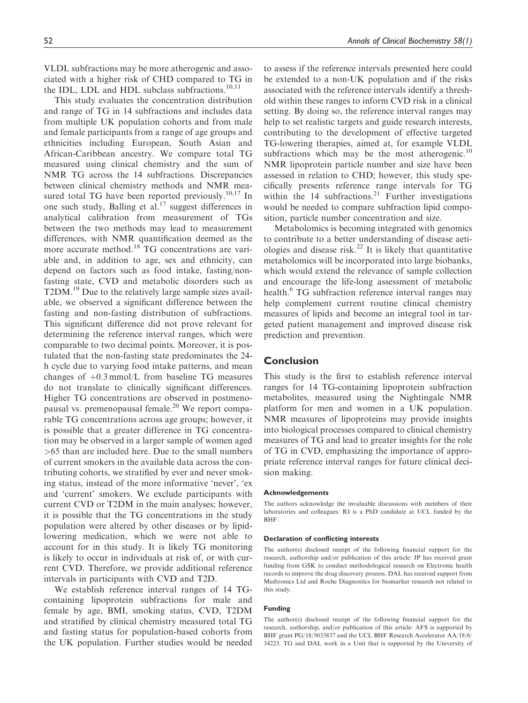VLDL subfractions may be more atherogenic and associated with a higher risk of CHD compared to TG in the IDL, LDL and HDL subclass subfractions.<sup>10,11</sup>

This study evaluates the concentration distribution and range of TG in 14 subfractions and includes data from multiple UK population cohorts and from male and female participants from a range of age groups and ethnicities including European, South Asian and African-Caribbean ancestry. We compare total TG measured using clinical chemistry and the sum of NMR TG across the 14 subfractions. Discrepancies between clinical chemistry methods and NMR measured total TG have been reported previously.<sup>10,17</sup> In one such study, Balling et  $aL^{17}$  suggest differences in analytical calibration from measurement of TGs between the two methods may lead to measurement differences, with NMR quantification deemed as the more accurate method.<sup>18</sup> TG concentrations are variable and, in addition to age, sex and ethnicity, can depend on factors such as food intake, fasting/nonfasting state, CVD and metabolic disorders such as T2DM.<sup>19</sup> Due to the relatively large sample sizes available, we observed a significant difference between the fasting and non-fasting distribution of subfractions. This significant difference did not prove relevant for determining the reference interval ranges, which were comparable to two decimal points. Moreover, it is postulated that the non-fasting state predominates the 24 h cycle due to varying food intake patterns, and mean changes of  $+0.3$  mmol/L from baseline TG measures do not translate to clinically significant differences. Higher TG concentrations are observed in postmenopausal vs. premenopausal female.<sup>20</sup> We report comparable TG concentrations across age groups; however, it is possible that a greater difference in TG concentration may be observed in a larger sample of women aged >65 than are included here. Due to the small numbers of current smokers in the available data across the contributing cohorts, we stratified by ever and never smoking status, instead of the more informative 'never', 'ex and 'current' smokers. We exclude participants with current CVD or T2DM in the main analyses; however, it is possible that the TG concentrations in the study population were altered by other diseases or by lipidlowering medication, which we were not able to account for in this study. It is likely TG monitoring is likely to occur in individuals at risk of, or with current CVD. Therefore, we provide additional reference intervals in participants with CVD and T2D.

We establish reference interval ranges of 14 TGcontaining lipoprotein subfractions for male and female by age, BMI, smoking status, CVD, T2DM and stratified by clinical chemistry measured total TG and fasting status for population-based cohorts from the UK population. Further studies would be needed to assess if the reference intervals presented here could be extended to a non-UK population and if the risks associated with the reference intervals identify a threshold within these ranges to inform CVD risk in a clinical setting. By doing so, the reference interval ranges may help to set realistic targets and guide research interests, contributing to the development of effective targeted TG-lowering therapies, aimed at, for example VLDL subfractions which may be the most atherogenic.<sup>10</sup> NMR lipoprotein particle number and size have been assessed in relation to CHD; however, this study specifically presents reference range intervals for TG within the  $14$  subfractions.<sup>21</sup> Further investigations would be needed to compare subfraction lipid composition, particle number concentration and size.

Metabolomics is becoming integrated with genomics to contribute to a better understanding of disease aetiologies and disease risk.<sup>22</sup> It is likely that quantitative metabolomics will be incorporated into large biobanks, which would extend the relevance of sample collection and encourage the life-long assessment of metabolic health.<sup>6</sup> TG subfraction reference interval ranges may help complement current routine clinical chemistry measures of lipids and become an integral tool in targeted patient management and improved disease risk prediction and prevention.

# **Conclusion**

This study is the first to establish reference interval ranges for 14 TG-containing lipoprotein subfraction metabolites, measured using the Nightingale NMR platform for men and women in a UK population. NMR measures of lipoproteins may provide insights into biological processes compared to clinical chemistry measures of TG and lead to greater insights for the role of TG in CVD, emphasizing the importance of appropriate reference interval ranges for future clinical decision making.

### Acknowledgements

The authors acknowledge the invaluable discussions with members of their laboratories and colleagues. RJ is a PhD candidate at UCL funded by the BHF.

#### Declaration of conflicting interests

The author(s) disclosed receipt of the following financial support for the research, authorship and/or publication of this article: JP has received grant funding from GSK to conduct methodological research on Electronic health records to improve the drug discovery process. DAL has received support from Medtronics Ltd and Roche Diagnostics for biomarker research not related to this study.

### Funding

The author(s) disclosed receipt of the following financial support for the research, authorship, and/or publication of this article: AFS is supported by BHF grant PG/18/5033837 and the UCL BHF Research Accelerator AA/18/6/ 34223. TG and DAL work in a Unit that is supported by the University of